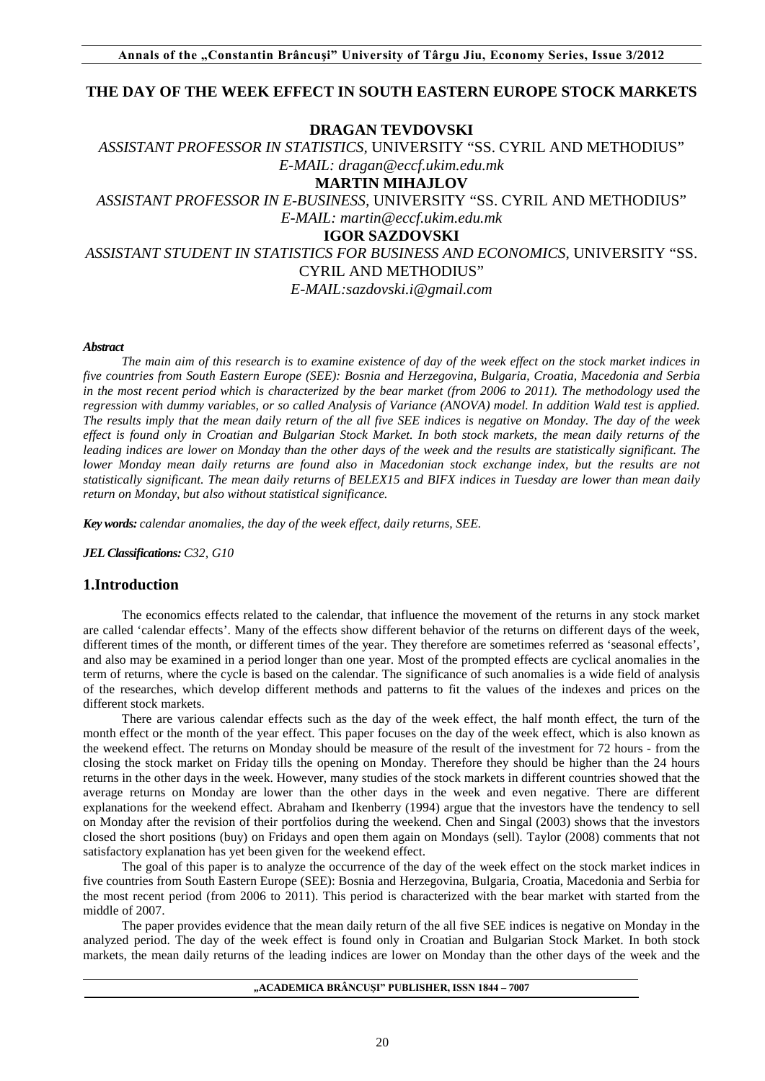# **THE DAY OF THE WEEK EFFECT IN SOUTH EASTERN EUROPE STOCK MARKETS**

### **DRAGAN TEVDOVSKI**

# *ASSISTANT PROFESSOR IN STATISTICS,* UNIVERSITY "SS. CYRIL AND METHODIUS" *E-MAIL: dragan@eccf.ukim.edu.mk*  **MARTIN MIHAJLOV** *ASSISTANT PROFESSOR IN E-BUSINESS,* UNIVERSITY "SS. CYRIL AND METHODIUS" *E-MAIL: martin@eccf.ukim.edu.mk*  **IGOR SAZDOVSKI** *ASSISTANT STUDENT IN STATISTICS FOR BUSINESS AND ECONOMICS,* UNIVERSITY "SS. CYRIL AND METHODIUS"

*E-MAIL:sazdovski.i@gmail.com* 

#### *Abstract*

*The main aim of this research is to examine existence of day of the week effect on the stock market indices in five countries from South Eastern Europe (SEE): Bosnia and Herzegovina, Bulgaria, Croatia, Macedonia and Serbia in the most recent period which is characterized by the bear market (from 2006 to 2011). The methodology used the regression with dummy variables, or so called Analysis of Variance (ANOVA) model. In addition Wald test is applied. The results imply that the mean daily return of the all five SEE indices is negative on Monday. The day of the week effect is found only in Croatian and Bulgarian Stock Market. In both stock markets, the mean daily returns of the leading indices are lower on Monday than the other days of the week and the results are statistically significant. The lower Monday mean daily returns are found also in Macedonian stock exchange index, but the results are not statistically significant. The mean daily returns of BELEX15 and BIFX indices in Tuesday are lower than mean daily return on Monday, but also without statistical significance.*

*Key words: calendar anomalies, the day of the week effect, daily returns, SEE.* 

*JEL Classifications: C32, G10*

### **1.Introduction**

The economics effects related to the calendar, that influence the movement of the returns in any stock market are called 'calendar effects'. Many of the effects show different behavior of the returns on different days of the week, different times of the month, or different times of the year. They therefore are sometimes referred as 'seasonal effects', and also may be examined in a period longer than one year. Most of the prompted effects are cyclical anomalies in the term of returns, where the cycle is based on the calendar. The significance of such anomalies is a wide field of analysis of the researches, which develop different methods and patterns to fit the values of the indexes and prices on the different stock markets.

There are various calendar effects such as the day of the week effect, the half month effect, the turn of the month effect or the month of the year effect. This paper focuses on the day of the week effect, which is also known as the weekend effect. The returns on Monday should be measure of the result of the investment for 72 hours - from the closing the stock market on Friday tills the opening on Monday. Therefore they should be higher than the 24 hours returns in the other days in the week. However, many studies of the stock markets in different countries showed that the average returns on Monday are lower than the other days in the week and even negative. There are different explanations for the weekend effect. Abraham and Ikenberry (1994) argue that the investors have the tendency to sell on Monday after the revision of their portfolios during the weekend. Chen and Singal (2003) shows that the investors closed the short positions (buy) on Fridays and open them again on Mondays (sell). Taylor (2008) comments that not satisfactory explanation has yet been given for the weekend effect.

The goal of this paper is to analyze the occurrence of the day of the week effect on the stock market indices in five countries from South Eastern Europe (SEE): Bosnia and Herzegovina, Bulgaria, Croatia, Macedonia and Serbia for the most recent period (from 2006 to 2011). This period is characterized with the bear market with started from the middle of 2007.

The paper provides evidence that the mean daily return of the all five SEE indices is negative on Monday in the analyzed period. The day of the week effect is found only in Croatian and Bulgarian Stock Market. In both stock markets, the mean daily returns of the leading indices are lower on Monday than the other days of the week and the

**"ACADEMICA BRÂNCUŞI" PUBLISHER, ISSN 1844 – 7007**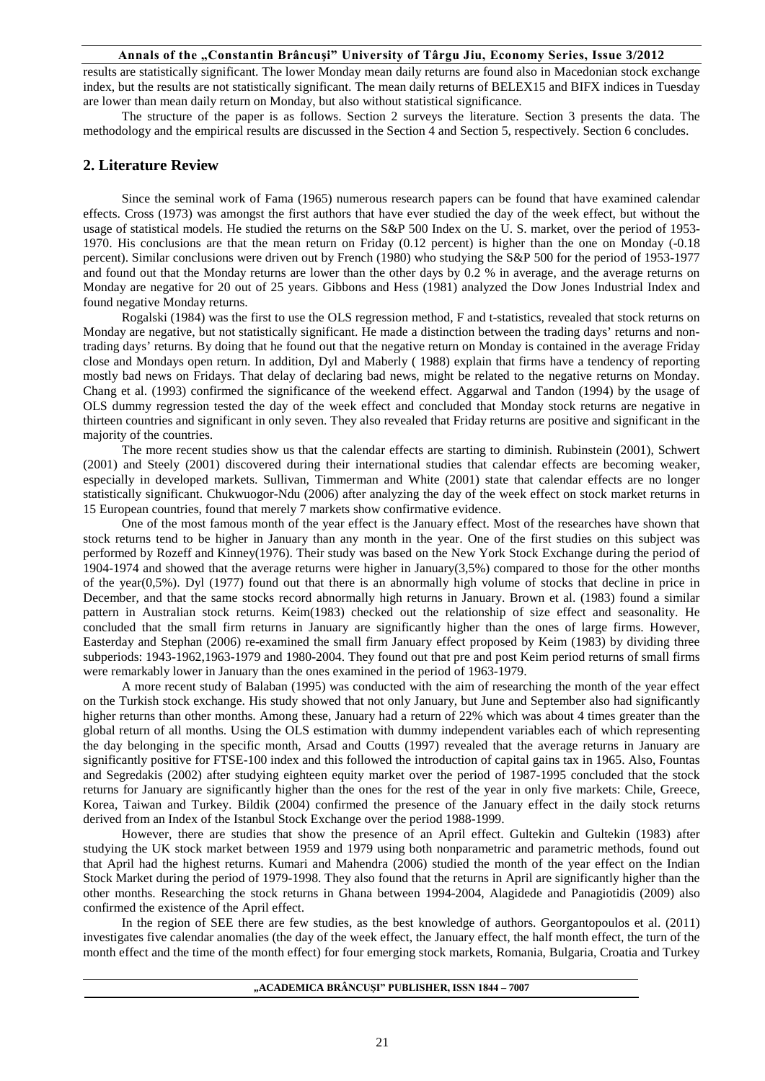results are statistically significant. The lower Monday mean daily returns are found also in Macedonian stock exchange index, but the results are not statistically significant. The mean daily returns of BELEX15 and BIFX indices in Tuesday are lower than mean daily return on Monday, but also without statistical significance.

The structure of the paper is as follows. Section 2 surveys the literature. Section 3 presents the data. The methodology and the empirical results are discussed in the Section 4 and Section 5, respectively. Section 6 concludes.

### **2. Literature Review**

Since the seminal work of Fama (1965) numerous research papers can be found that have examined calendar effects. Cross (1973) was amongst the first authors that have ever studied the day of the week effect, but without the usage of statistical models. He studied the returns on the S&P 500 Index on the U. S. market, over the period of 1953- 1970. His conclusions are that the mean return on Friday (0.12 percent) is higher than the one on Monday (-0.18 percent). Similar conclusions were driven out by French (1980) who studying the S&P 500 for the period of 1953-1977 and found out that the Monday returns are lower than the other days by 0.2 % in average, and the average returns on Monday are negative for 20 out of 25 years. Gibbons and Hess (1981) analyzed the Dow Jones Industrial Index and found negative Monday returns.

Rogalski (1984) was the first to use the OLS regression method, F and t-statistics, revealed that stock returns on Monday are negative, but not statistically significant. He made a distinction between the trading days' returns and nontrading days' returns. By doing that he found out that the negative return on Monday is contained in the average Friday close and Mondays open return. In addition, Dyl and Maberly ( 1988) explain that firms have a tendency of reporting mostly bad news on Fridays. That delay of declaring bad news, might be related to the negative returns on Monday. Chang et al. (1993) confirmed the significance of the weekend effect. Aggarwal and Tandon (1994) by the usage of OLS dummy regression tested the day of the week effect and concluded that Monday stock returns are negative in thirteen countries and significant in only seven. They also revealed that Friday returns are positive and significant in the majority of the countries.

The more recent studies show us that the calendar effects are starting to diminish. Rubinstein (2001), Schwert (2001) and Steely (2001) discovered during their international studies that calendar effects are becoming weaker, especially in developed markets. Sullivan, Timmerman and White (2001) state that calendar effects are no longer statistically significant. Chukwuogor-Ndu (2006) after analyzing the day of the week effect on stock market returns in 15 European countries, found that merely 7 markets show confirmative evidence.

One of the most famous month of the year effect is the January effect. Most of the researches have shown that stock returns tend to be higher in January than any month in the year. One of the first studies on this subject was performed by Rozeff and Kinney(1976). Their study was based on the New York Stock Exchange during the period of 1904-1974 and showed that the average returns were higher in January(3,5%) compared to those for the other months of the year(0,5%). Dyl (1977) found out that there is an abnormally high volume of stocks that decline in price in December, and that the same stocks record abnormally high returns in January. Brown et al. (1983) found a similar pattern in Australian stock returns. Keim(1983) checked out the relationship of size effect and seasonality. He concluded that the small firm returns in January are significantly higher than the ones of large firms. However, Easterday and Stephan (2006) re-examined the small firm January effect proposed by Keim (1983) by dividing three subperiods: 1943-1962,1963-1979 and 1980-2004. They found out that pre and post Keim period returns of small firms were remarkably lower in January than the ones examined in the period of 1963-1979.

A more recent study of Balaban (1995) was conducted with the aim of researching the month of the year effect on the Turkish stock exchange. His study showed that not only January, but June and September also had significantly higher returns than other months. Among these, January had a return of 22% which was about 4 times greater than the global return of all months. Using the OLS estimation with dummy independent variables each of which representing the day belonging in the specific month, Arsad and Coutts (1997) revealed that the average returns in January are significantly positive for FTSE-100 index and this followed the introduction of capital gains tax in 1965. Also, Fountas and Segredakis (2002) after studying eighteen equity market over the period of 1987-1995 concluded that the stock returns for January are significantly higher than the ones for the rest of the year in only five markets: Chile, Greece, Korea, Taiwan and Turkey. Bildik (2004) confirmed the presence of the January effect in the daily stock returns derived from an Index of the Istanbul Stock Exchange over the period 1988-1999.

However, there are studies that show the presence of an April effect. Gultekin and Gultekin (1983) after studying the UK stock market between 1959 and 1979 using both nonparametric and parametric methods, found out that April had the highest returns. Kumari and Mahendra (2006) studied the month of the year effect on the Indian Stock Market during the period of 1979-1998. They also found that the returns in April are significantly higher than the other months. Researching the stock returns in Ghana between 1994-2004, Alagidede and Panagiotidis (2009) also confirmed the existence of the April effect.

In the region of SEE there are few studies, as the best knowledge of authors. Georgantopoulos et al. (2011) investigates five calendar anomalies (the day of the week effect, the January effect, the half month effect, the turn of the month effect and the time of the month effect) for four emerging stock markets, Romania, Bulgaria, Croatia and Turkey

#### **"ACADEMICA BRÂNCUŞI" PUBLISHER, ISSN 1844 – 7007**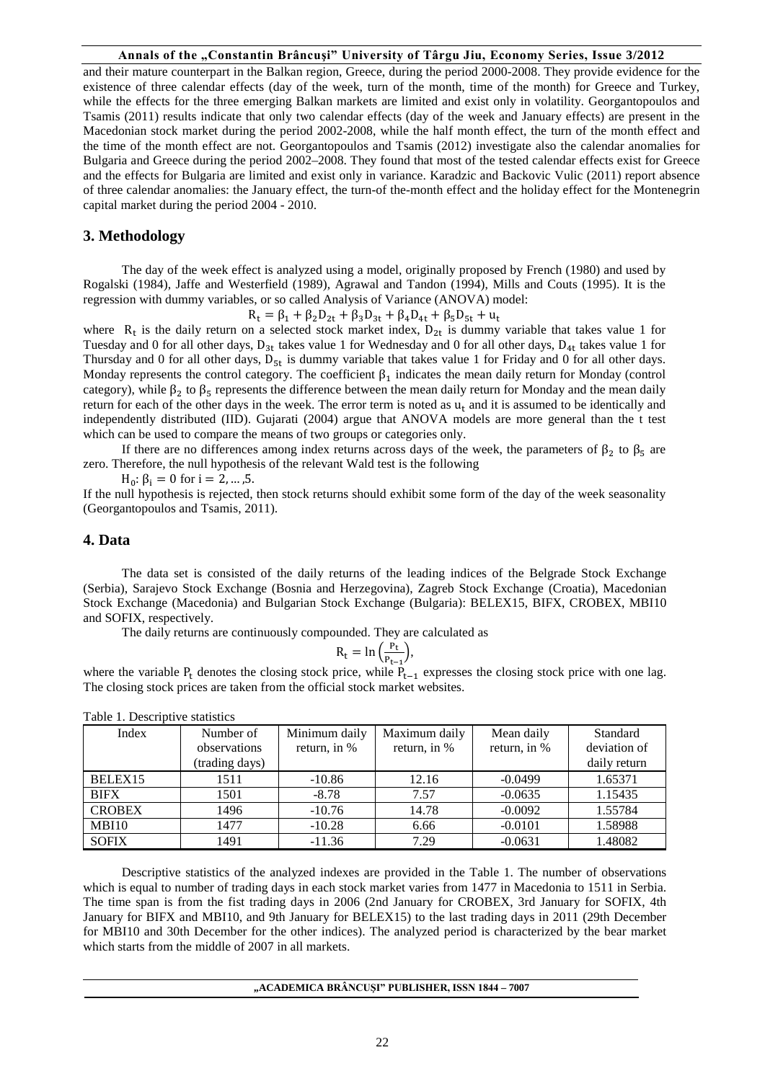and their mature counterpart in the Balkan region, Greece, during the period 2000-2008. They provide evidence for the existence of three calendar effects (day of the week, turn of the month, time of the month) for Greece and Turkey, while the effects for the three emerging Balkan markets are limited and exist only in volatility. Georgantopoulos and Tsamis (2011) results indicate that only two calendar effects (day of the week and January effects) are present in the Macedonian stock market during the period 2002-2008, while the half month effect, the turn of the month effect and the time of the month effect are not. Georgantopoulos and Tsamis (2012) investigate also the calendar anomalies for Bulgaria and Greece during the period 2002–2008. They found that most of the tested calendar effects exist for Greece and the effects for Bulgaria are limited and exist only in variance. Karadzic and Backovic Vulic (2011) report absence of three calendar anomalies: the January effect, the turn-of the-month effect and the holiday effect for the Montenegrin capital market during the period 2004 - 2010.

### **3. Methodology**

The day of the week effect is analyzed using a model, originally proposed by French (1980) and used by Rogalski (1984), Jaffe and Westerfield (1989), Agrawal and Tandon (1994), Mills and Couts (1995). It is the regression with dummy variables, or so called Analysis of Variance (ANOVA) model:

 $R_t = \beta_1 + \beta_2 D_{2t} + \beta_3 D_{3t} + \beta_4 D_{4t} + \beta_5 D_{5t} + u_t$ 

where  $R_t$  is the daily return on a selected stock market index,  $D_{2t}$  is dummy variable that takes value 1 for Tuesday and 0 for all other days,  $D_{3t}$  takes value 1 for Wednesday and 0 for all other days,  $D_{4t}$  takes value 1 for Thursday and 0 for all other days,  $D_{5t}$  is dummy variable that takes value 1 for Friday and 0 for all other days. Monday represents the control category. The coefficient  $\beta_1$  indicates the mean daily return for Monday (control category), while  $\beta_2$  to  $\beta_5$  represents the difference between the mean daily return for Monday and the mean daily return for each of the other days in the week. The error term is noted as  $u_t$  and it is assumed to be identically and independently distributed (IID). Gujarati (2004) argue that ANOVA models are more general than the t test which can be used to compare the means of two groups or categories only.

If there are no differences among index returns across days of the week, the parameters of  $\beta_2$  to  $\beta_5$  are zero. Therefore, the null hypothesis of the relevant Wald test is the following

 $H_0$ : β<sub>i</sub> = 0 for i = 2, ..., 5.

If the null hypothesis is rejected, then stock returns should exhibit some form of the day of the week seasonality (Georgantopoulos and Tsamis, 2011).

### **4. Data**

The data set is consisted of the daily returns of the leading indices of the Belgrade Stock Exchange (Serbia), Sarajevo Stock Exchange (Bosnia and Herzegovina), Zagreb Stock Exchange (Croatia), Macedonian Stock Exchange (Macedonia) and Bulgarian Stock Exchange (Bulgaria): BELEX15, BIFX, CROBEX, MBI10 and SOFIX, respectively.

The daily returns are continuously compounded. They are calculated as

$$
R_t = \ln\left(\frac{P_t}{P_{t-1}}\right),
$$

where the variable P<sub>t</sub> denotes the closing stock price, while  $P_{t-1}$  expresses the closing stock price with one lag. The closing stock prices are taken from the official stock market websites.

| Index         | Number of<br>observations | Minimum daily<br>return, in % | Maximum daily<br>return, in % | Mean daily<br>return, in % | Standard<br>deviation of |
|---------------|---------------------------|-------------------------------|-------------------------------|----------------------------|--------------------------|
|               | (trading days)            |                               |                               |                            | daily return             |
| BELEX15       | 1511                      | $-10.86$                      | 12.16                         | $-0.0499$                  | 1.65371                  |
| <b>BIFX</b>   | 1501                      | $-8.78$                       | 7.57                          | $-0.0635$                  | 1.15435                  |
| <b>CROBEX</b> | 1496                      | $-10.76$                      | 14.78                         | $-0.0092$                  | 1.55784                  |
| MBI10         | 1477                      | $-10.28$                      | 6.66                          | $-0.0101$                  | 1.58988                  |
| <b>SOFIX</b>  | 1491                      | $-11.36$                      | 7.29                          | $-0.0631$                  | 1.48082                  |

Table 1. Descriptive statistics

Descriptive statistics of the analyzed indexes are provided in the Table 1. The number of observations which is equal to number of trading days in each stock market varies from 1477 in Macedonia to 1511 in Serbia. The time span is from the fist trading days in 2006 (2nd January for CROBEX, 3rd January for SOFIX, 4th January for BIFX and MBI10, and 9th January for BELEX15) to the last trading days in 2011 (29th December for MBI10 and 30th December for the other indices). The analyzed period is characterized by the bear market which starts from the middle of 2007 in all markets.

#### **"ACADEMICA BRÂNCUŞI" PUBLISHER, ISSN 1844 – 7007**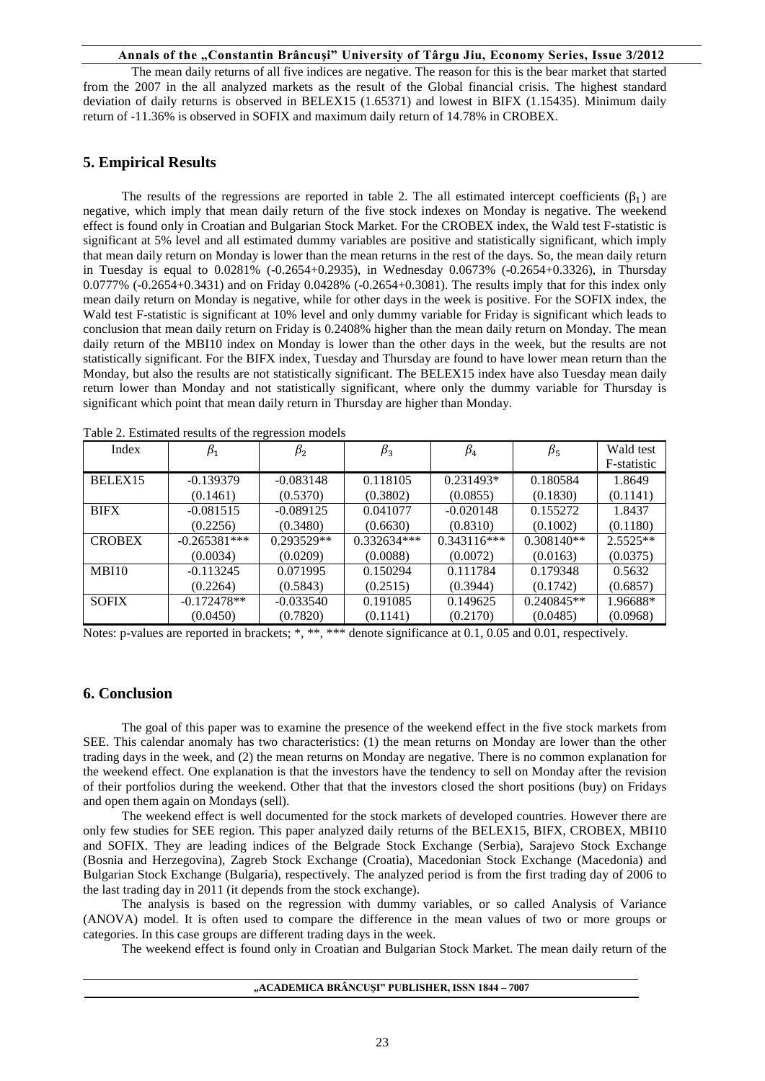The mean daily returns of all five indices are negative. The reason for this is the bear market that started from the 2007 in the all analyzed markets as the result of the Global financial crisis. The highest standard deviation of daily returns is observed in BELEX15 (1.65371) and lowest in BIFX (1.15435). Minimum daily return of -11.36% is observed in SOFIX and maximum daily return of 14.78% in CROBEX.

# **5. Empirical Results**

The results of the regressions are reported in table 2. The all estimated intercept coefficients ( $\beta_1$ ) are negative, which imply that mean daily return of the five stock indexes on Monday is negative. The weekend effect is found only in Croatian and Bulgarian Stock Market. For the CROBEX index, the Wald test F-statistic is significant at 5% level and all estimated dummy variables are positive and statistically significant, which imply that mean daily return on Monday is lower than the mean returns in the rest of the days. So, the mean daily return in Tuesday is equal to 0.0281% (-0.2654+0.2935), in Wednesday 0.0673% (-0.2654+0.3326), in Thursday 0.0777% (-0.2654+0.3431) and on Friday 0.0428% (-0.2654+0.3081). The results imply that for this index only mean daily return on Monday is negative, while for other days in the week is positive. For the SOFIX index, the Wald test F-statistic is significant at 10% level and only dummy variable for Friday is significant which leads to conclusion that mean daily return on Friday is 0.2408% higher than the mean daily return on Monday. The mean daily return of the MBI10 index on Monday is lower than the other days in the week, but the results are not statistically significant. For the BIFX index, Tuesday and Thursday are found to have lower mean return than the Monday, but also the results are not statistically significant. The BELEX15 index have also Tuesday mean daily return lower than Monday and not statistically significant, where only the dummy variable for Thursday is significant which point that mean daily return in Thursday are higher than Monday.

| Index         | $\beta_1$      | $\beta_{2}$  | $\beta_3$     | $\beta_4$     | $\beta_{5}$  | Wald test   |
|---------------|----------------|--------------|---------------|---------------|--------------|-------------|
|               |                |              |               |               |              | F-statistic |
| BELEX15       | $-0.139379$    | $-0.083148$  | 0.118105      | $0.231493*$   | 0.180584     | 1.8649      |
|               | (0.1461)       | (0.5370)     | (0.3802)      | (0.0855)      | (0.1830)     | (0.1141)    |
| <b>BIFX</b>   | $-0.081515$    | $-0.089125$  | 0.041077      | $-0.020148$   | 0.155272     | 1.8437      |
|               | (0.2256)       | (0.3480)     | (0.6630)      | (0.8310)      | (0.1002)     | (0.1180)    |
| <b>CROBEX</b> | $-0.265381***$ | $0.293529**$ | $0.332634***$ | $0.343116***$ | $0.308140**$ | $2.5525**$  |
|               | (0.0034)       | (0.0209)     | (0.0088)      | (0.0072)      | (0.0163)     | (0.0375)    |
| MBI10         | $-0.113245$    | 0.071995     | 0.150294      | 0.111784      | 0.179348     | 0.5632      |
|               | (0.2264)       | (0.5843)     | (0.2515)      | (0.3944)      | (0.1742)     | (0.6857)    |
| <b>SOFIX</b>  | $-0.172478**$  | $-0.033540$  | 0.191085      | 0.149625      | $0.240845**$ | 1.96688*    |
|               | (0.0450)       | (0.7820)     | (0.1141)      | (0.2170)      | (0.0485)     | (0.0968)    |

Table 2. Estimated results of the regression models

Notes: p-values are reported in brackets; \*, \*\*, \*\*\* denote significance at 0.1, 0.05 and 0.01, respectively.

## **6. Conclusion**

The goal of this paper was to examine the presence of the weekend effect in the five stock markets from SEE. This calendar anomaly has two characteristics: (1) the mean returns on Monday are lower than the other trading days in the week, and (2) the mean returns on Monday are negative. There is no common explanation for the weekend effect. One explanation is that the investors have the tendency to sell on Monday after the revision of their portfolios during the weekend. Other that that the investors closed the short positions (buy) on Fridays and open them again on Mondays (sell).

The weekend effect is well documented for the stock markets of developed countries. However there are only few studies for SEE region. This paper analyzed daily returns of the BELEX15, BIFX, CROBEX, MBI10 and SOFIX. They are leading indices of the Belgrade Stock Exchange (Serbia), Sarajevo Stock Exchange (Bosnia and Herzegovina), Zagreb Stock Exchange (Croatia), Macedonian Stock Exchange (Macedonia) and Bulgarian Stock Exchange (Bulgaria), respectively. The analyzed period is from the first trading day of 2006 to the last trading day in 2011 (it depends from the stock exchange).

The analysis is based on the regression with dummy variables, or so called Analysis of Variance (ANOVA) model. It is often used to compare the difference in the mean values of two or more groups or categories. In this case groups are different trading days in the week.

The weekend effect is found only in Croatian and Bulgarian Stock Market. The mean daily return of the